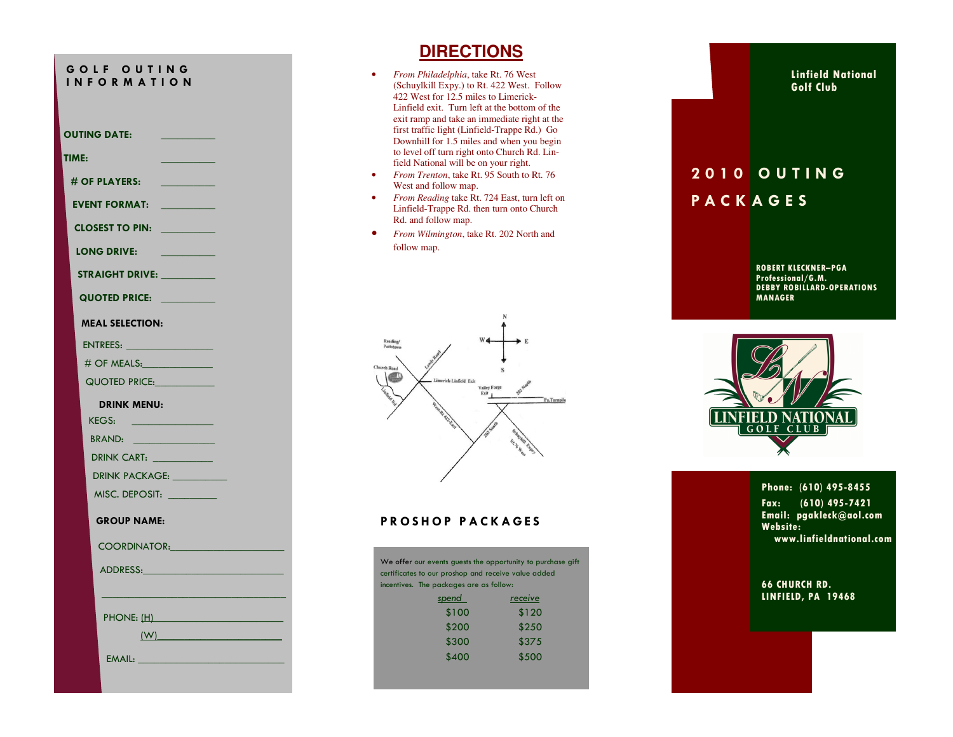## G O L FOUTING<br>IN FORMATION <sup>I</sup> <sup>N</sup> <sup>F</sup> <sup>O</sup> <sup>R</sup> <sup>M</sup> <sup>A</sup> <sup>T</sup> <sup>I</sup> <sup>O</sup> <sup>N</sup>

OUTING DATE:

TIME: \_\_\_\_\_\_\_\_\_\_

## $#$  OF PLAYERS:

EVENT FORMAT: \_\_\_\_\_\_\_\_\_\_

CLOSEST TO PIN: \_\_\_\_\_\_\_\_\_

LONG DRIVE:

STRAIGHT DRIVE: \_\_\_\_\_\_\_\_\_\_

QUOTED PRICE: \_\_\_\_\_\_\_\_\_

MEAL SELECTION:

ENTREES: \_\_\_\_\_\_\_\_\_\_\_\_\_\_\_\_

# OF MEALS:\_\_\_\_\_\_\_\_\_\_\_\_\_

QUOTED PRICE:

## DRINK MENU:

KEGS: BRAND:

DRINK CART: \_\_\_\_\_\_\_\_\_\_\_

DRINK PACKAGE: \_\_\_\_\_\_\_\_\_\_

MISC. DEPOSIT: \_\_\_\_\_\_\_\_\_

GROUP NAME:

COORDINATOR:

ADDRESS:

PHONE: (H)

 $(W)$ 

EMAIL:

## **DIRECTIONS**

- *From Philadelphia*, take Rt. 76 West (Schuylkill Expy.) to Rt. 422 West. Follow 422 West for 12.5 miles to Limerick-Linfield exit. Turn left at the bottom of the exit ramp and take an immediate right at the first traffic light (Linfield-Trappe Rd.) Go Downhill for 1.5 miles and when you begin to level off turn right onto Church Rd. Linfield National will be on your right.
- *From Trenton*, take Rt. 95 South to Rt. 76 West and follow map.
- *From Reading* take Rt. 724 East, turn left on Linfield-Trappe Rd. then turn onto Church Rd. and follow map.
- *From Wilmington*, take Rt. 202 North and follow map.



## PROSHOP PACKAGES

| certificates to our proshop and receive value added | We offer our events guests the opportunity to purchase gift |
|-----------------------------------------------------|-------------------------------------------------------------|
| incentives. The packages are as follow:             |                                                             |
| spend                                               | receive                                                     |
| \$100                                               | \$120                                                       |
| \$200                                               | \$250                                                       |
| \$300                                               | \$375                                                       |
| \$400                                               | \$500                                                       |
|                                                     |                                                             |

## Linfield National Golf Club

# **2010 OUTING** P A C K A G E S

ROBERT KLECKNER–PGA Professional/G.M. DEBBY ROBILLARD-OPERATIONS MANAGER



## Phone: (610) 495-8455

Fax: (610) 495-7421 Email: pgakleck@aol.com Website: www.linfieldnational.com

## 66 CHURCH RD. LINFIELD, PA 19468